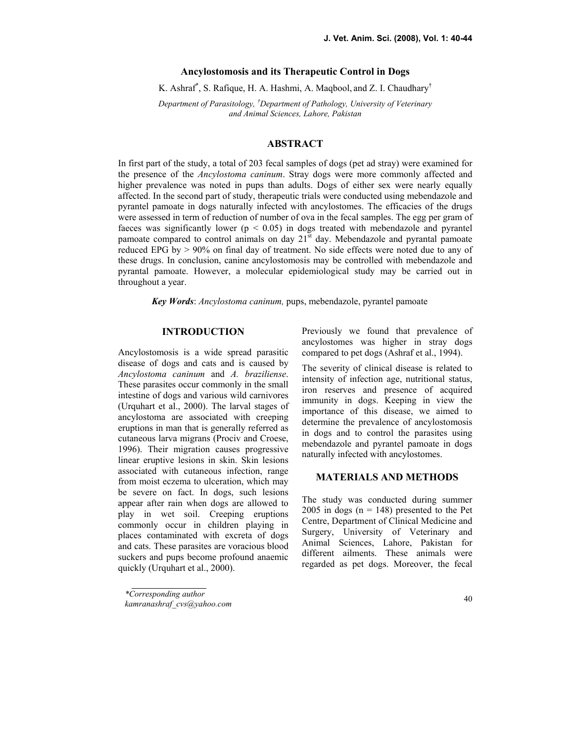### Ancylostomosis and its Therapeutic Control in Dogs

K. Ashraf<sup>\*</sup>, S. Rafique, H. A. Hashmi, A. Maqbool, and Z. I. Chaudhary<sup>†</sup>

Department of Parasitology, <sup>†</sup>Department of Pathology, University of Veterinary and Animal Sciences, Lahore, Pakistan

# ABSTRACT

In first part of the study, a total of 203 fecal samples of dogs (pet ad stray) were examined for the presence of the *Ancylostoma caninum*. Stray dogs were more commonly affected and higher prevalence was noted in pups than adults. Dogs of either sex were nearly equally affected. In the second part of study, therapeutic trials were conducted using mebendazole and pyrantel pamoate in dogs naturally infected with ancylostomes. The efficacies of the drugs were assessed in term of reduction of number of ova in the fecal samples. The egg per gram of faeces was significantly lower ( $p < 0.05$ ) in dogs treated with mebendazole and pyrantel pamoate compared to control animals on day  $21^{\overline{st}}$  day. Mebendazole and pyrantal pamoate reduced EPG by  $> 90\%$  on final day of treatment. No side effects were noted due to any of these drugs. In conclusion, canine ancylostomosis may be controlled with mebendazole and pyrantal pamoate. However, a molecular epidemiological study may be carried out in throughout a year.

Key Words: Ancylostoma caninum, pups, mebendazole, pyrantel pamoate

### **INTRODUCTION**

Ancylostomosis is a wide spread parasitic disease of dogs and cats and is caused by Ancylostoma caninum and A. braziliense. These parasites occur commonly in the small intestine of dogs and various wild carnivores (Urquhart et al., 2000). The larval stages of ancylostoma are associated with creeping eruptions in man that is generally referred as cutaneous larva migrans (Prociv and Croese, 1996). Their migration causes progressive linear eruptive lesions in skin. Skin lesions associated with cutaneous infection, range from moist eczema to ulceration, which may be severe on fact. In dogs, such lesions appear after rain when dogs are allowed to play in wet soil. Creeping eruptions commonly occur in children playing in places contaminated with excreta of dogs and cats. These parasites are voracious blood suckers and pups become profound anaemic quickly (Urquhart et al., 2000).

The severity of clinical disease is related to intensity of infection age, nutritional status, iron reserves and presence of acquired immunity in dogs. Keeping in view the importance of this disease, we aimed to determine the prevalence of ancylostomosis in dogs and to control the parasites using mebendazole and pyrantel pamoate in dogs naturally infected with ancylostomes.

## **MATERIALS AND METHODS**

The study was conducted during summer 2005 in dogs ( $n = 148$ ) presented to the Pet Centre, Department of Clinical Medicine and Surgery, University of Veterinary and Animal Sciences, Lahore, Pakistan for different ailments. These animals were regarded as pet dogs. Moreover, the fecal

Previously we found that prevalence of ancylostomes was higher in stray dogs compared to pet dogs (Ashraf et al., 1994).

<sup>\*</sup>Corresponding author

kamranashraf\_cvs@yahoo.com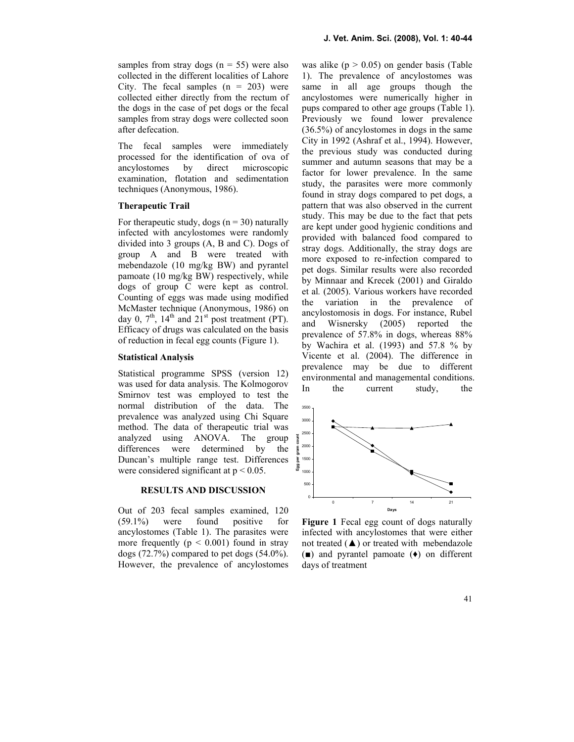samples from stray dogs  $(n = 55)$  were also collected in the different localities of Lahore City. The fecal samples  $(n = 203)$  were collected either directly from the rectum of the dogs in the case of pet dogs or the fecal samples from stray dogs were collected soon after defecation.

The fecal samples were immediately processed for the identification of ova of ancylostomes by direct microscopic examination, flotation and sedimentation techniques (Anonymous, 1986).

# Therapeutic Trail

For therapeutic study, dogs ( $n = 30$ ) naturally infected with ancylostomes were randomly divided into 3 groups (A, B and C). Dogs of group A and B were treated with mebendazole (10 mg/kg BW) and pyrantel pamoate (10 mg/kg BW) respectively, while dogs of group C were kept as control. Counting of eggs was made using modified McMaster technique (Anonymous, 1986) on day 0,  $7<sup>th</sup>$ ,  $14<sup>th</sup>$  and  $21<sup>st</sup>$  post treatment (PT). Efficacy of drugs was calculated on the basis of reduction in fecal egg counts (Figure 1).

#### Statistical Analysis

Statistical programme SPSS (version 12) was used for data analysis. The Kolmogorov Smirnov test was employed to test the normal distribution of the data. The prevalence was analyzed using Chi Square method. The data of therapeutic trial was analyzed using ANOVA. The group differences were determined by the Duncan's multiple range test. Differences were considered significant at  $p < 0.05$ .

#### RESULTS AND DISCUSSION

Out of 203 fecal samples examined, 120 (59.1%) were found positive for ancylostomes (Table 1). The parasites were more frequently  $(p < 0.001)$  found in stray dogs  $(72.7\%)$  compared to pet dogs  $(54.0\%)$ . However, the prevalence of ancylostomes

was alike  $(p > 0.05)$  on gender basis (Table 1). The prevalence of ancylostomes was same in all age groups though the ancylostomes were numerically higher in pups compared to other age groups (Table 1). Previously we found lower prevalence (36.5%) of ancylostomes in dogs in the same City in 1992 (Ashraf et al., 1994). However, the previous study was conducted during summer and autumn seasons that may be a factor for lower prevalence. In the same study, the parasites were more commonly found in stray dogs compared to pet dogs, a pattern that was also observed in the current study. This may be due to the fact that pets are kept under good hygienic conditions and provided with balanced food compared to stray dogs. Additionally, the stray dogs are more exposed to re-infection compared to pet dogs. Similar results were also recorded by Minnaar and Krecek (2001) and Giraldo et al. (2005). Various workers have recorded the variation in the prevalence of ancylostomosis in dogs. For instance, Rubel and Wisnersky (2005) reported the prevalence of 57.8% in dogs, whereas 88% by Wachira et al.  $(1993)$  and 57.8 % by Vicente et al. (2004). The difference in prevalence may be due to different environmental and managemental conditions. In the current study, the



Figure 1 Fecal egg count of dogs naturally infected with ancylostomes that were either not treated  $(\triangle)$  or treated with mebendazole (■) and pyrantel pamoate (♦) on different days of treatment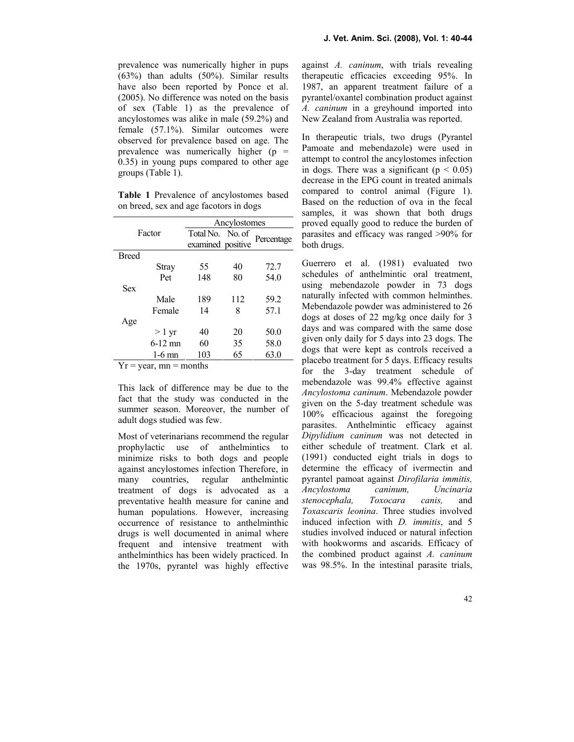prevalence was numerically higher in pups (63%) than adults (50%). Similar results have also been reported by Ponce et al. (2005). No difference was noted on the basis of sex (Table 1) as the prevalence of ancylostomes was alike in male (59.2%) and female (57.1%). Similar outcomes were observed for prevalence based on age. The prevalence was numerically higher  $(p =$ 0.35) in young pups compared to other age groups (Table 1).

Table 1 Prevalence of ancylostomes based on breed, sex and age facotors in dogs

| Factor                               |                 | Ancylostomes      |     |            |
|--------------------------------------|-----------------|-------------------|-----|------------|
|                                      |                 | Total No. No. of  |     | Percentage |
|                                      |                 | examined positive |     |            |
| <b>Breed</b>                         |                 |                   |     |            |
|                                      | Stray           | 55                | 40  | 72.7       |
|                                      | Pet             | 148               | 80  | 54.0       |
| <b>Sex</b>                           |                 |                   |     |            |
|                                      | Male            | 189               | 112 | 59.2       |
|                                      | Female          | 14                | 8   | 57.1       |
| Age                                  |                 |                   |     |            |
|                                      | $>1 \text{ yr}$ | 40                | 20  | 50.0       |
|                                      | $6 - 12$ mn     | 60                | 35  | 58.0       |
|                                      | $1-6$ mn        | 103               | 65  | 63.0       |
| $41 -$<br><b>T</b> <i>T</i><br>$  -$ |                 |                   |     |            |

 $Yr = year$ , mn = months

This lack of difference may be due to the fact that the study was conducted in the summer season. Moreover, the number of adult dogs studied was few.

Most of veterinarians recommend the regular prophylactic use of anthelmintics to minimize risks to both dogs and people against ancylostomes infection Therefore, in many countries, regular anthelmintic treatment of dogs is advocated as a preventative health measure for canine and human populations. However, increasing occurrence of resistance to anthelminthic drugs is well documented in animal where frequent and intensive treatment with anthelminthics has been widely practiced. In the 1970s, pyrantel was highly effective

against A. caninum, with trials revealing therapeutic efficacies exceeding 95%. In 1987, an apparent treatment failure of a pyrantel/oxantel combination product against A. caninum in a greyhound imported into New Zealand from Australia was reported.

In therapeutic trials, two drugs (Pyrantel Pamoate and mebendazole) were used in attempt to control the ancylostomes infection in dogs. There was a significant ( $p < 0.05$ ) decrease in the EPG count in treated animals compared to control animal (Figure 1). Based on the reduction of ova in the fecal samples, it was shown that both drugs proved equally good to reduce the burden of parasites and efficacy was ranged >90% for both drugs.

Guerrero et al. (1981) evaluated two schedules of anthelmintic oral treatment, using mebendazole powder in 73 dogs naturally infected with common helminthes. Mebendazole powder was administered to 26 dogs at doses of 22 mg/kg once daily for 3 days and was compared with the same dose given only daily for 5 days into 23 dogs. The dogs that were kept as controls received a placebo treatment for 5 days. Efficacy results for the 3-day treatment schedule of mebendazole was 99.4% effective against Ancylostoma caninum. Mebendazole powder given on the 5-day treatment schedule was 100% efficacious against the foregoing parasites. Anthelmintic efficacy against Dipylidium caninum was not detected in either schedule of treatment. Clark et al. (1991) conducted eight trials in dogs to determine the efficacy of ivermectin and pyrantel pamoat against Dirofilaria immitis, Ancylostoma caninum, Uncinaria stenocephala, Toxocara canis, and Toxascaris leonina. Three studies involved induced infection with *D. immitis*, and 5 studies involved induced or natural infection with hookworms and ascarids. Efficacy of the combined product against A. caninum was 98.5%. In the intestinal parasite trials,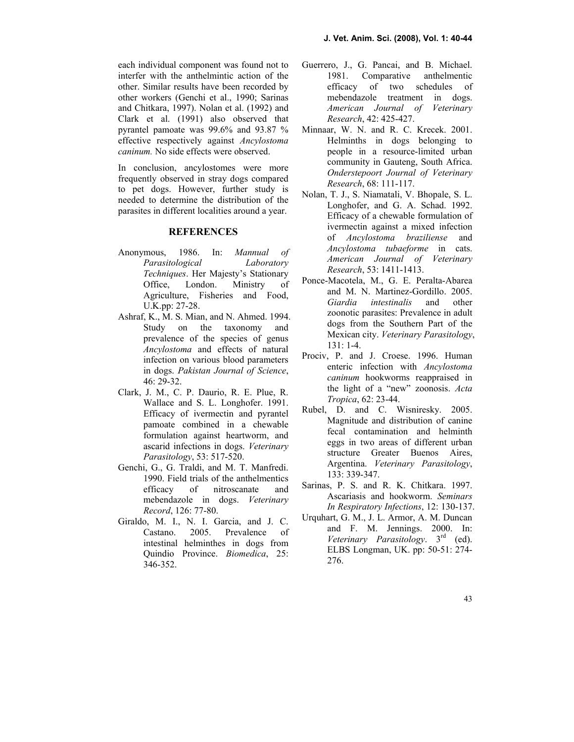each individual component was found not to interfer with the anthelmintic action of the other. Similar results have been recorded by other workers (Genchi et al., 1990; Sarinas and Chitkara, 1997). Nolan et al. (1992) and Clark et al. (1991) also observed that pyrantel pamoate was 99.6% and 93.87 % effective respectively against Ancylostoma caninum. No side effects were observed.

In conclusion, ancylostomes were more frequently observed in stray dogs compared to pet dogs. However, further study is needed to determine the distribution of the parasites in different localities around a year.

# **REFERENCES**

- Anonymous, 1986. In: Mannual of Parasitological Laboratory Techniques. Her Majesty's Stationary Office, London. Ministry of Agriculture, Fisheries and Food, U.K.pp: 27-28.
- Ashraf, K., M. S. Mian, and N. Ahmed. 1994. Study on the taxonomy and prevalence of the species of genus Ancylostoma and effects of natural infection on various blood parameters in dogs. Pakistan Journal of Science, 46: 29-32.
- Clark, J. M., C. P. Daurio, R. E. Plue, R. Wallace and S. L. Longhofer. 1991. Efficacy of ivermectin and pyrantel pamoate combined in a chewable formulation against heartworm, and ascarid infections in dogs. Veterinary Parasitology, 53: 517-520.
- Genchi, G., G. Traldi, and M. T. Manfredi. 1990. Field trials of the anthelmentics efficacy of nitroscanate and mebendazole in dogs. Veterinary Record, 126: 77-80.
- Giraldo, M. I., N. I. Garcia, and J. C. Castano. 2005. Prevalence of intestinal helminthes in dogs from Quindio Province. Biomedica, 25: 346-352.
- Guerrero, J., G. Pancai, and B. Michael. 1981. Comparative anthelmentic efficacy of two schedules of mebendazole treatment in dogs. American Journal of Veterinary Research, 42: 425-427.
- Minnaar, W. N. and R. C. Krecek. 2001. Helminths in dogs belonging to people in a resource-limited urban community in Gauteng, South Africa. Onderstepoort Journal of Veterinary Research, 68: 111-117.
- Nolan, T. J., S. Niamatali, V. Bhopale, S. L. Longhofer, and G. A. Schad. 1992. Efficacy of a chewable formulation of ivermectin against a mixed infection of Ancylostoma braziliense and Ancylostoma tubaeforme in cats. American Journal of Veterinary Research, 53: 1411-1413.
- Ponce-Macotela, M., G. E. Peralta-Abarea and M. N. Martinez-Gordillo. 2005. Giardia intestinalis and other zoonotic parasites: Prevalence in adult dogs from the Southern Part of the Mexican city. Veterinary Parasitology, 131: 1-4.
- Prociv, P. and J. Croese. 1996. Human enteric infection with Ancylostoma caninum hookworms reappraised in the light of a "new" zoonosis. Acta Tropica, 62: 23-44.
- Rubel, D. and C. Wisniresky. 2005. Magnitude and distribution of canine fecal contamination and helminth eggs in two areas of different urban structure Greater Buenos Aires, Argentina. Veterinary Parasitology, 133: 339-347.
- Sarinas, P. S. and R. K. Chitkara. 1997. Ascariasis and hookworm. Seminars In Respiratory Infections, 12: 130-137.
- Urquhart, G. M., J. L. Armor, A. M. Duncan and F. M. Jennings. 2000. In: Veterinary Parasitology.  $3<sup>rd</sup>$  (ed). ELBS Longman, UK. pp: 50-51: 274- 276.